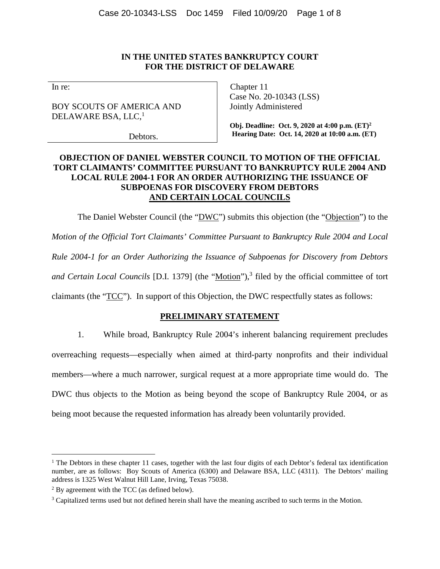## **IN THE UNITED STATES BANKRUPTCY COURT FOR THE DISTRICT OF DELAWARE**

In re:

BOY SCOUTS OF AMERICA AND DELAWARE BSA, LLC, $<sup>1</sup>$ </sup>

Debtors.

Chapter 11 Case No. 20-10343 (LSS) Jointly Administered

**Obj. Deadline: Oct. 9, 2020 at 4:00 p.m. (ET)<sup>2</sup> Hearing Date: Oct. 14, 2020 at 10:00 a.m. (ET)**

## **OBJECTION OF DANIEL WEBSTER COUNCIL TO MOTION OF THE OFFICIAL TORT CLAIMANTS' COMMITTEE PURSUANT TO BANKRUPTCY RULE 2004 AND LOCAL RULE 2004-1 FOR AN ORDER AUTHORIZING THE ISSUANCE OF SUBPOENAS FOR DISCOVERY FROM DEBTORS AND CERTAIN LOCAL COUNCILS**

The Daniel Webster Council (the "DWC") submits this objection (the "Objection") to the *Motion of the Official Tort Claimants' Committee Pursuant to Bankruptcy Rule 2004 and Local Rule 2004-1 for an Order Authorizing the Issuance of Subpoenas for Discovery from Debtors*  and Certain Local Councils [D.I. 1379] (the "Motion"),<sup>3</sup> filed by the official committee of tort claimants (the "TCC"). In support of this Objection, the DWC respectfully states as follows:

# **PRELIMINARY STATEMENT**

1. While broad, Bankruptcy Rule 2004's inherent balancing requirement precludes overreaching requests—especially when aimed at third-party nonprofits and their individual members—where a much narrower, surgical request at a more appropriate time would do. The DWC thus objects to the Motion as being beyond the scope of Bankruptcy Rule 2004, or as being moot because the requested information has already been voluntarily provided.

<sup>&</sup>lt;sup>1</sup> The Debtors in these chapter 11 cases, together with the last four digits of each Debtor's federal tax identification number, are as follows: Boy Scouts of America (6300) and Delaware BSA, LLC (4311). The Debtors' mailing address is 1325 West Walnut Hill Lane, Irving, Texas 75038.

 $2^2$  By agreement with the TCC (as defined below).

<sup>&</sup>lt;sup>3</sup> Capitalized terms used but not defined herein shall have the meaning ascribed to such terms in the Motion.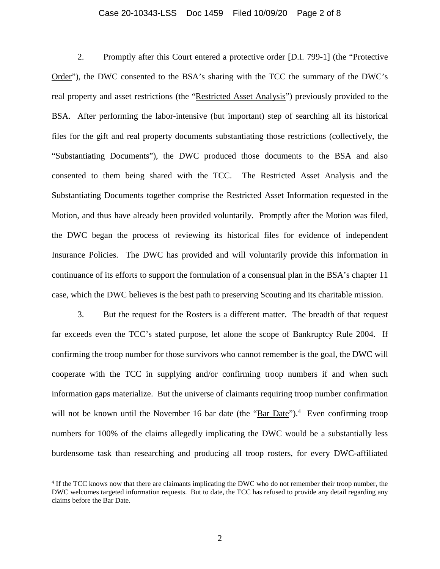#### Case 20-10343-LSS Doc 1459 Filed 10/09/20 Page 2 of 8

2. Promptly after this Court entered a protective order [D.I. 799-1] (the "Protective Order"), the DWC consented to the BSA's sharing with the TCC the summary of the DWC's real property and asset restrictions (the "Restricted Asset Analysis") previously provided to the BSA. After performing the labor-intensive (but important) step of searching all its historical files for the gift and real property documents substantiating those restrictions (collectively, the "Substantiating Documents"), the DWC produced those documents to the BSA and also consented to them being shared with the TCC. The Restricted Asset Analysis and the Substantiating Documents together comprise the Restricted Asset Information requested in the Motion, and thus have already been provided voluntarily. Promptly after the Motion was filed, the DWC began the process of reviewing its historical files for evidence of independent Insurance Policies. The DWC has provided and will voluntarily provide this information in continuance of its efforts to support the formulation of a consensual plan in the BSA's chapter 11 case, which the DWC believes is the best path to preserving Scouting and its charitable mission.

3. But the request for the Rosters is a different matter. The breadth of that request far exceeds even the TCC's stated purpose, let alone the scope of Bankruptcy Rule 2004. If confirming the troop number for those survivors who cannot remember is the goal, the DWC will cooperate with the TCC in supplying and/or confirming troop numbers if and when such information gaps materialize. But the universe of claimants requiring troop number confirmation will not be known until the November 16 bar date (the " $\text{Bar Date}$ ").<sup>4</sup> Even confirming troop numbers for 100% of the claims allegedly implicating the DWC would be a substantially less burdensome task than researching and producing all troop rosters, for every DWC-affiliated

<sup>&</sup>lt;sup>4</sup> If the TCC knows now that there are claimants implicating the DWC who do not remember their troop number, the DWC welcomes targeted information requests. But to date, the TCC has refused to provide any detail regarding any claims before the Bar Date.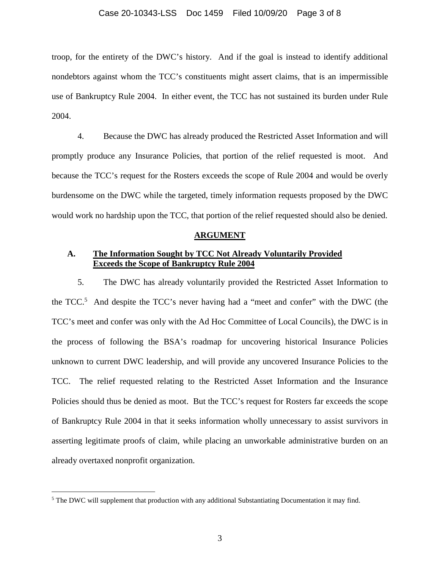#### Case 20-10343-LSS Doc 1459 Filed 10/09/20 Page 3 of 8

troop, for the entirety of the DWC's history. And if the goal is instead to identify additional nondebtors against whom the TCC's constituents might assert claims, that is an impermissible use of Bankruptcy Rule 2004. In either event, the TCC has not sustained its burden under Rule 2004.

4. Because the DWC has already produced the Restricted Asset Information and will promptly produce any Insurance Policies, that portion of the relief requested is moot. And because the TCC's request for the Rosters exceeds the scope of Rule 2004 and would be overly burdensome on the DWC while the targeted, timely information requests proposed by the DWC would work no hardship upon the TCC, that portion of the relief requested should also be denied.

#### **ARGUMENT**

## **A. The Information Sought by TCC Not Already Voluntarily Provided Exceeds the Scope of Bankruptcy Rule 2004**

5. The DWC has already voluntarily provided the Restricted Asset Information to the TCC.<sup>5</sup> And despite the TCC's never having had a "meet and confer" with the DWC (the TCC's meet and confer was only with the Ad Hoc Committee of Local Councils), the DWC is in the process of following the BSA's roadmap for uncovering historical Insurance Policies unknown to current DWC leadership, and will provide any uncovered Insurance Policies to the TCC. The relief requested relating to the Restricted Asset Information and the Insurance Policies should thus be denied as moot. But the TCC's request for Rosters far exceeds the scope of Bankruptcy Rule 2004 in that it seeks information wholly unnecessary to assist survivors in asserting legitimate proofs of claim, while placing an unworkable administrative burden on an already overtaxed nonprofit organization.

<sup>&</sup>lt;sup>5</sup> The DWC will supplement that production with any additional Substantiating Documentation it may find.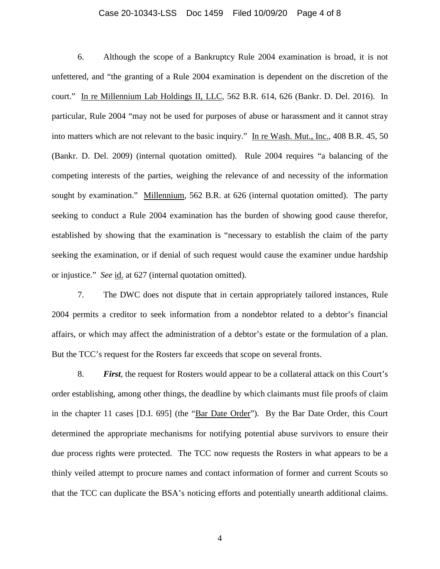#### Case 20-10343-LSS Doc 1459 Filed 10/09/20 Page 4 of 8

6. Although the scope of a Bankruptcy Rule 2004 examination is broad, it is not unfettered, and "the granting of a Rule 2004 examination is dependent on the discretion of the court." In re Millennium Lab Holdings II, LLC, 562 B.R. 614, 626 (Bankr. D. Del. 2016). In particular, Rule 2004 "may not be used for purposes of abuse or harassment and it cannot stray into matters which are not relevant to the basic inquiry." In re Wash. Mut., Inc., 408 B.R. 45, 50 (Bankr. D. Del. 2009) (internal quotation omitted). Rule 2004 requires "a balancing of the competing interests of the parties, weighing the relevance of and necessity of the information sought by examination." Millennium, 562 B.R. at 626 (internal quotation omitted). The party seeking to conduct a Rule 2004 examination has the burden of showing good cause therefor, established by showing that the examination is "necessary to establish the claim of the party seeking the examination, or if denial of such request would cause the examiner undue hardship or injustice." *See* id. at 627 (internal quotation omitted).

7. The DWC does not dispute that in certain appropriately tailored instances, Rule 2004 permits a creditor to seek information from a nondebtor related to a debtor's financial affairs, or which may affect the administration of a debtor's estate or the formulation of a plan. But the TCC's request for the Rosters far exceeds that scope on several fronts.

8. *First*, the request for Rosters would appear to be a collateral attack on this Court's order establishing, among other things, the deadline by which claimants must file proofs of claim in the chapter 11 cases [D.I. 695] (the "Bar Date Order"). By the Bar Date Order, this Court determined the appropriate mechanisms for notifying potential abuse survivors to ensure their due process rights were protected. The TCC now requests the Rosters in what appears to be a thinly veiled attempt to procure names and contact information of former and current Scouts so that the TCC can duplicate the BSA's noticing efforts and potentially unearth additional claims.

4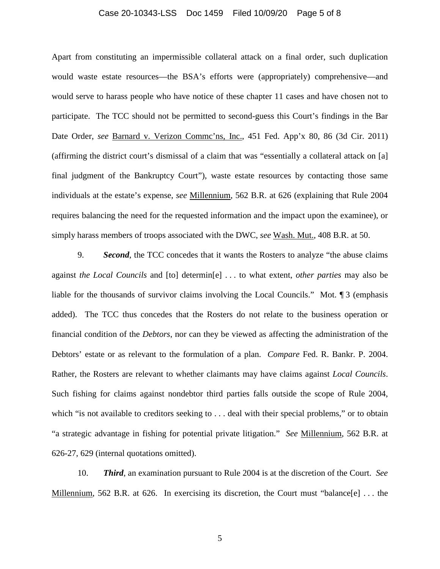#### Case 20-10343-LSS Doc 1459 Filed 10/09/20 Page 5 of 8

Apart from constituting an impermissible collateral attack on a final order, such duplication would waste estate resources—the BSA's efforts were (appropriately) comprehensive—and would serve to harass people who have notice of these chapter 11 cases and have chosen not to participate. The TCC should not be permitted to second-guess this Court's findings in the Bar Date Order, *see* Barnard v. Verizon Commc'ns, Inc., 451 Fed. App'x 80, 86 (3d Cir. 2011) (affirming the district court's dismissal of a claim that was "essentially a collateral attack on [a] final judgment of the Bankruptcy Court"), waste estate resources by contacting those same individuals at the estate's expense, *see* Millennium, 562 B.R. at 626 (explaining that Rule 2004 requires balancing the need for the requested information and the impact upon the examinee), or simply harass members of troops associated with the DWC, *see* Wash. Mut., 408 B.R. at 50.

9. *Second*, the TCC concedes that it wants the Rosters to analyze "the abuse claims against *the Local Councils* and [to] determin[e] . . . to what extent, *other parties* may also be liable for the thousands of survivor claims involving the Local Councils." Mot. 1 3 (emphasis added). The TCC thus concedes that the Rosters do not relate to the business operation or financial condition of the *Debtors*, nor can they be viewed as affecting the administration of the Debtors' estate or as relevant to the formulation of a plan. *Compare* Fed. R. Bankr. P. 2004. Rather, the Rosters are relevant to whether claimants may have claims against *Local Councils*. Such fishing for claims against nondebtor third parties falls outside the scope of Rule 2004, which "is not available to creditors seeking to . . . deal with their special problems," or to obtain "a strategic advantage in fishing for potential private litigation." *See* Millennium, 562 B.R. at 626-27, 629 (internal quotations omitted).

10. *Third*, an examination pursuant to Rule 2004 is at the discretion of the Court. *See*  Millennium, 562 B.R. at 626. In exercising its discretion, the Court must "balance[e] ... the

5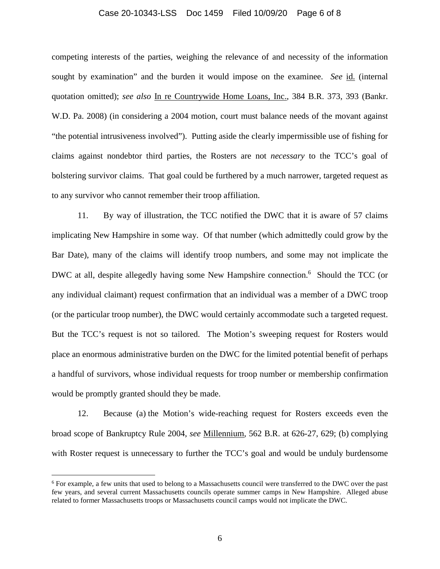#### Case 20-10343-LSS Doc 1459 Filed 10/09/20 Page 6 of 8

competing interests of the parties, weighing the relevance of and necessity of the information sought by examination" and the burden it would impose on the examinee. *See* id. (internal quotation omitted); *see also* In re Countrywide Home Loans, Inc., 384 B.R. 373, 393 (Bankr. W.D. Pa. 2008) (in considering a 2004 motion, court must balance needs of the movant against "the potential intrusiveness involved"). Putting aside the clearly impermissible use of fishing for claims against nondebtor third parties, the Rosters are not *necessary* to the TCC's goal of bolstering survivor claims. That goal could be furthered by a much narrower, targeted request as to any survivor who cannot remember their troop affiliation.

11. By way of illustration, the TCC notified the DWC that it is aware of 57 claims implicating New Hampshire in some way. Of that number (which admittedly could grow by the Bar Date), many of the claims will identify troop numbers, and some may not implicate the DWC at all, despite allegedly having some New Hampshire connection.<sup>6</sup> Should the TCC (or any individual claimant) request confirmation that an individual was a member of a DWC troop (or the particular troop number), the DWC would certainly accommodate such a targeted request. But the TCC's request is not so tailored. The Motion's sweeping request for Rosters would place an enormous administrative burden on the DWC for the limited potential benefit of perhaps a handful of survivors, whose individual requests for troop number or membership confirmation would be promptly granted should they be made.

12. Because (a) the Motion's wide-reaching request for Rosters exceeds even the broad scope of Bankruptcy Rule 2004, *see* Millennium, 562 B.R. at 626-27, 629; (b) complying with Roster request is unnecessary to further the TCC's goal and would be unduly burdensome

<sup>&</sup>lt;sup>6</sup> For example, a few units that used to belong to a Massachusetts council were transferred to the DWC over the past few years, and several current Massachusetts councils operate summer camps in New Hampshire. Alleged abuse related to former Massachusetts troops or Massachusetts council camps would not implicate the DWC.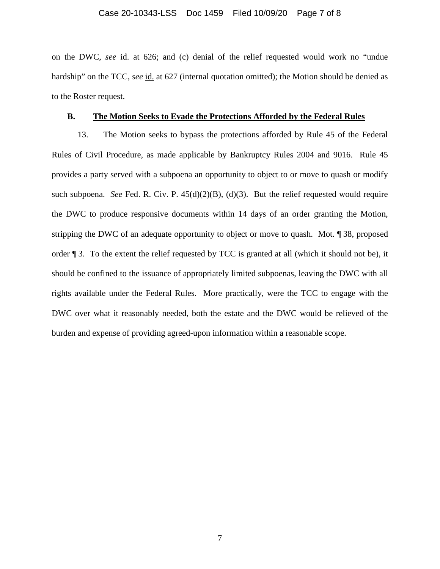#### Case 20-10343-LSS Doc 1459 Filed 10/09/20 Page 7 of 8

on the DWC, *see* id. at 626; and (c) denial of the relief requested would work no "undue hardship" on the TCC, *see* id. at 627 (internal quotation omitted); the Motion should be denied as to the Roster request.

## **B. The Motion Seeks to Evade the Protections Afforded by the Federal Rules**

13. The Motion seeks to bypass the protections afforded by Rule 45 of the Federal Rules of Civil Procedure, as made applicable by Bankruptcy Rules 2004 and 9016. Rule 45 provides a party served with a subpoena an opportunity to object to or move to quash or modify such subpoena. *See* Fed. R. Civ. P. 45(d)(2)(B), (d)(3). But the relief requested would require the DWC to produce responsive documents within 14 days of an order granting the Motion, stripping the DWC of an adequate opportunity to object or move to quash. Mot. ¶ 38, proposed order ¶ 3. To the extent the relief requested by TCC is granted at all (which it should not be), it should be confined to the issuance of appropriately limited subpoenas, leaving the DWC with all rights available under the Federal Rules. More practically, were the TCC to engage with the DWC over what it reasonably needed, both the estate and the DWC would be relieved of the burden and expense of providing agreed-upon information within a reasonable scope.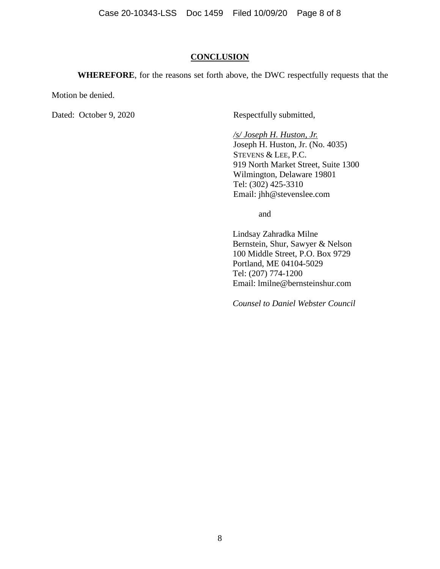Case 20-10343-LSS Doc 1459 Filed 10/09/20 Page 8 of 8

### **CONCLUSION**

**WHEREFORE**, for the reasons set forth above, the DWC respectfully requests that the

Motion be denied.

Dated: October 9, 2020 Respectfully submitted,

*/s/ Joseph H. Huston, Jr.*  Joseph H. Huston, Jr. (No. 4035) STEVENS & LEE, P.C. 919 North Market Street, Suite 1300 Wilmington, Delaware 19801 Tel: (302) 425-3310 Email: jhh@stevenslee.com

and

Lindsay Zahradka Milne Bernstein, Shur, Sawyer & Nelson 100 Middle Street, P.O. Box 9729 Portland, ME 04104-5029 Tel: (207) 774-1200 Email: lmilne@bernsteinshur.com

*Counsel to Daniel Webster Council*